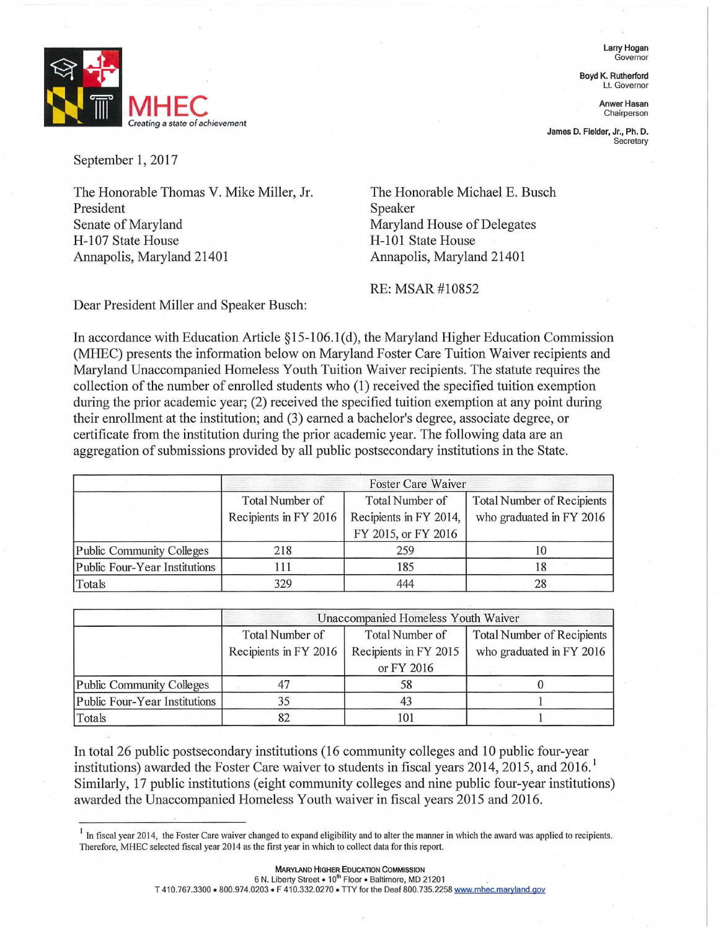Larry Hogan Governor

Boyd K. Rutherford Lt. Governor

Chairperson

James D. Fielder, Jr., Ph. D. **Secretary** 

**MHEC** Anwer Hasan Chairperson *Creating* a *state of achievement* 

September 1, 2017

The Honorable Thomas V. Mike Miller, Jr. President Senate of Maryland H-107 State House Annapolis, Maryland 21401

The Honorable Michael E. Busch Speaker Maryland House of Delegates H-101 State House Annapolis, Maryland 21401

RE: MSAR#10852

Dear President Miller and Speaker Busch:

In accordance with Education Article § 15-106.1 ( d), the Maryland Higher Education Commission (MHEC) presents the information below on Maryland Foster Care Tuition Waiver recipients and Maryland Unaccompanied Homeless Youth Tuition Waiver recipients. The statute requires the collection of the number of enrolled students who (1) received the specified tuition exemption during the prior academic year; (2) received the specified tuition exemption at any point during their enrollment at the institution; and (3) earned a bachelor's degree, associate degree, or certificate from the institution during the prior academic year. The following data are an aggregation of submissions provided by all public postsecondary institutions in the State.

|                               | <b>Foster Care Waiver</b> |                        |                                   |
|-------------------------------|---------------------------|------------------------|-----------------------------------|
|                               | Total Number of           | Total Number of        | <b>Total Number of Recipients</b> |
|                               | Recipients in FY 2016     | Recipients in FY 2014, | who graduated in FY 2016          |
|                               |                           | FY 2015, or FY 2016    |                                   |
| Public Community Colleges     | 218                       | 259                    | 10                                |
| Public Four-Year Institutions |                           | 185                    |                                   |
| Totals                        | 329                       | 444                    | 28                                |

|                               | Unaccompanied Homeless Youth Waiver |                       |                                   |  |
|-------------------------------|-------------------------------------|-----------------------|-----------------------------------|--|
|                               | Total Number of                     | Total Number of       | <b>Total Number of Recipients</b> |  |
|                               | Recipients in FY 2016               | Recipients in FY 2015 | who graduated in FY 2016          |  |
|                               |                                     | or FY 2016            |                                   |  |
| Public Community Colleges     |                                     | 58                    |                                   |  |
| Public Four-Year Institutions | 35                                  | 43                    |                                   |  |
| Totals                        |                                     | 101                   |                                   |  |

In total 26 public postsecondary institutions (16 community colleges and 10 public four-year institutions) awarded the Foster Care waiver to students in fiscal years 2014, 2015, and 2016. Similarly, 17 public institutions (eight community colleges and nine public four-year institutions) awarded the Unaccompanied Homeless Youth waiver in fiscal years 2015 and 2016.

 $<sup>1</sup>$  In fiscal year 2014, the Foster Care waiver changed to expand eligibility and to alter the manner in which the award was applied to recipients.</sup> Therefore, MHEC selected fiscal year 2014 as the first year in which to collect data for this report.